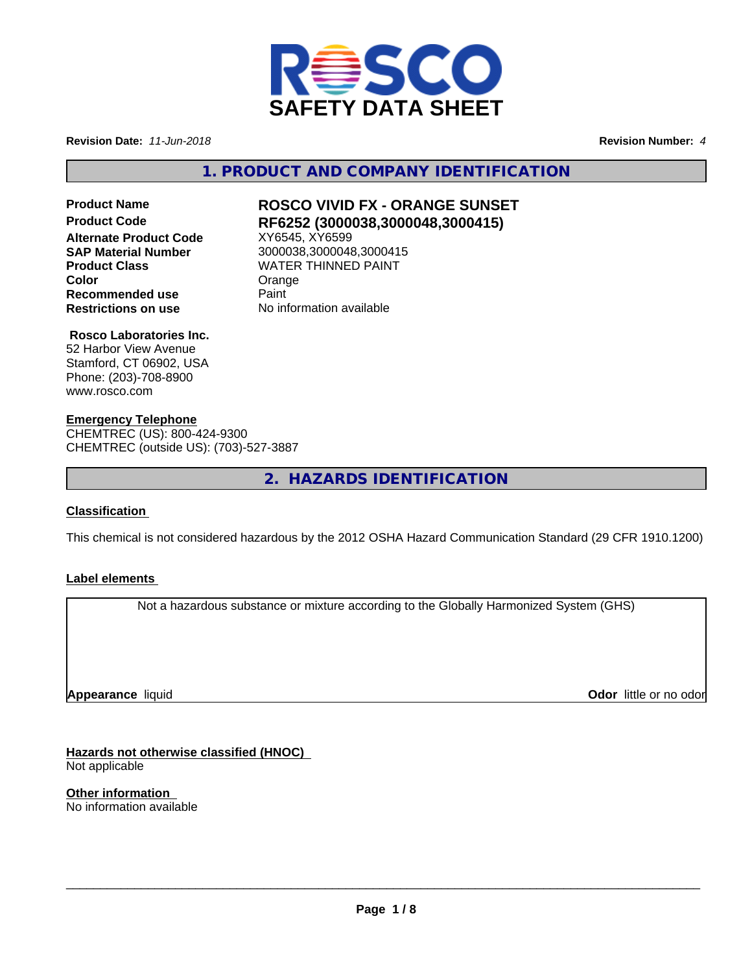

**Revision Date:** *11-Jun-2018* **Revision Number:** *4*

**1. PRODUCT AND COMPANY IDENTIFICATION**

**SAP Material Number** 3000038,3000048,3000415

## **Product Name ROSCO VIVID FX - ORANGE SUNSET Product Code RF6252 (3000038,3000048,3000415) Alternate Product Code**<br>**SAP Material Number Product Class WATER THINNED PAINT Color** Color Crange Color **Recommended use Paint Restrictions on use** No information available

#### **Rosco Laboratories Inc.**

52 Harbor View Avenue Stamford, CT 06902, USA Phone: (203)-708-8900 www.rosco.com

#### **Emergency Telephone**

CHEMTREC (US): 800-424-9300 CHEMTREC (outside US): (703)-527-3887

**2. HAZARDS IDENTIFICATION**

#### **Classification**

This chemical is not considered hazardous by the 2012 OSHA Hazard Communication Standard (29 CFR 1910.1200)

#### **Label elements**

Not a hazardous substance or mixture according to the Globally Harmonized System (GHS)

**Appearance** liquid

**Odor** little or no odor

**Hazards not otherwise classified (HNOC)** Not applicable

**Other information** No information available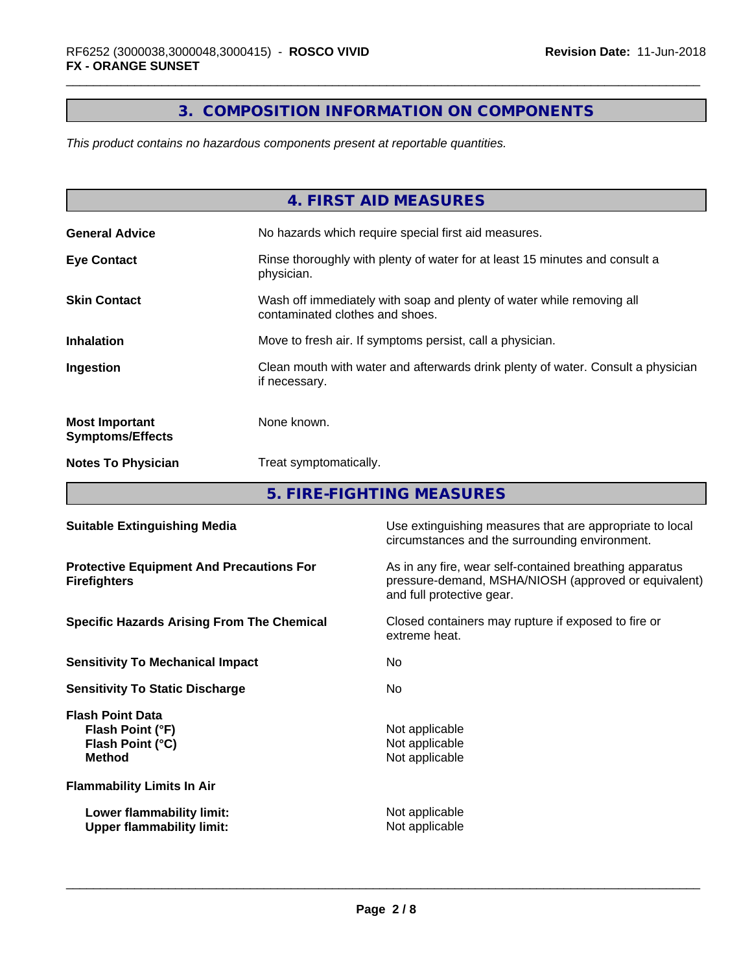# **3. COMPOSITION INFORMATION ON COMPONENTS**

*This product contains no hazardous components present at reportable quantities.*

|                                                  | 4. FIRST AID MEASURES                                                                                    |
|--------------------------------------------------|----------------------------------------------------------------------------------------------------------|
| <b>General Advice</b>                            | No hazards which require special first aid measures.                                                     |
| <b>Eye Contact</b>                               | Rinse thoroughly with plenty of water for at least 15 minutes and consult a<br>physician.                |
| <b>Skin Contact</b>                              | Wash off immediately with soap and plenty of water while removing all<br>contaminated clothes and shoes. |
| <b>Inhalation</b>                                | Move to fresh air. If symptoms persist, call a physician.                                                |
| Ingestion                                        | Clean mouth with water and afterwards drink plenty of water. Consult a physician<br>if necessary.        |
| <b>Most Important</b><br><b>Symptoms/Effects</b> | None known.                                                                                              |
| <b>Notes To Physician</b>                        | Treat symptomatically.                                                                                   |
|                                                  | E FIDE FICUTING MEACUDEC                                                                                 |

**5. FIRE-FIGHTING MEASURES**

| <b>Suitable Extinguishing Media</b>                                              | Use extinguishing measures that are appropriate to local<br>circumstances and the surrounding environment.                                   |
|----------------------------------------------------------------------------------|----------------------------------------------------------------------------------------------------------------------------------------------|
| <b>Protective Equipment And Precautions For</b><br><b>Firefighters</b>           | As in any fire, wear self-contained breathing apparatus<br>pressure-demand, MSHA/NIOSH (approved or equivalent)<br>and full protective gear. |
| <b>Specific Hazards Arising From The Chemical</b>                                | Closed containers may rupture if exposed to fire or<br>extreme heat.                                                                         |
| <b>Sensitivity To Mechanical Impact</b>                                          | No.                                                                                                                                          |
| <b>Sensitivity To Static Discharge</b>                                           | No.                                                                                                                                          |
| <b>Flash Point Data</b><br>Flash Point (°F)<br>Flash Point (°C)<br><b>Method</b> | Not applicable<br>Not applicable<br>Not applicable                                                                                           |
| <b>Flammability Limits In Air</b>                                                |                                                                                                                                              |
| Lower flammability limit:<br><b>Upper flammability limit:</b>                    | Not applicable<br>Not applicable                                                                                                             |
|                                                                                  |                                                                                                                                              |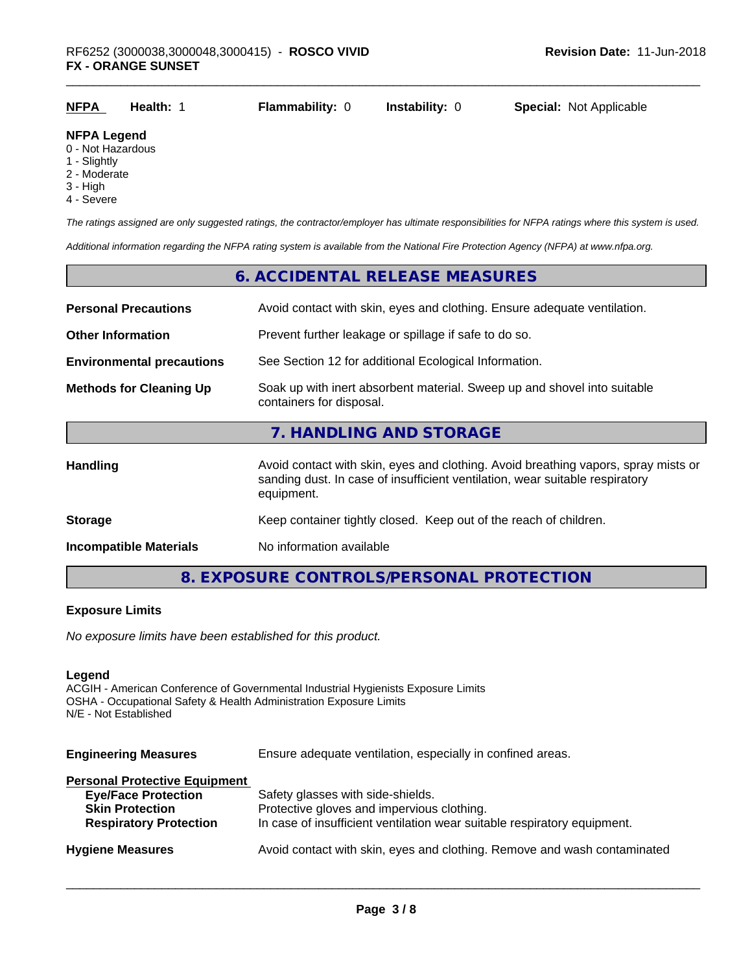| <b>NFPA</b> | Health: . | <b>Flammability: 0</b> | <b>Instability: 0</b> | <b>Special: Not Applicable</b> |
|-------------|-----------|------------------------|-----------------------|--------------------------------|
| NFPA Logand |           |                        |                       |                                |

#### **NFPA Legend**

- 0 Not Hazardous
- 1 Slightly
- 2 Moderate
- 3 High
- 4 Severe

*The ratings assigned are only suggested ratings, the contractor/employer has ultimate responsibilities for NFPA ratings where this system is used.*

*Additional information regarding the NFPA rating system is available from the National Fire Protection Agency (NFPA) at www.nfpa.org.*

# **6. ACCIDENTAL RELEASE MEASURES Personal Precautions** Avoid contact with skin, eyes and clothing. Ensure adequate ventilation. **Other Information** Prevent further leakage or spillage if safe to do so. **Environmental precautions** See Section 12 for additional Ecological Information. **Methods for Cleaning Up** Soak up with inert absorbent material. Sweep up and shovel into suitable containers for disposal. **7. HANDLING AND STORAGE** Handling **Handling** Avoid contact with skin, eyes and clothing. Avoid breathing vapors, spray mists or sanding dust. In case of insufficient ventilation, wear suitable respiratory equipment. **Storage** Keep container tightly closed. Keep out of the reach of children. **Incompatible Materials** No information available

**8. EXPOSURE CONTROLS/PERSONAL PROTECTION**

#### **Exposure Limits**

*No exposure limits have been established for this product.*

#### **Legend**

ACGIH - American Conference of Governmental Industrial Hygienists Exposure Limits OSHA - Occupational Safety & Health Administration Exposure Limits N/E - Not Established

| <b>Engineering Measures</b> | Ensure adequate ventilation, especially in confined areas. |
|-----------------------------|------------------------------------------------------------|
|-----------------------------|------------------------------------------------------------|

| <b>Personal Protective Equipment</b> |                                                                          |
|--------------------------------------|--------------------------------------------------------------------------|
| <b>Eye/Face Protection</b>           | Safety glasses with side-shields.                                        |
| <b>Skin Protection</b>               | Protective gloves and impervious clothing.                               |
| <b>Respiratory Protection</b>        | In case of insufficient ventilation wear suitable respiratory equipment. |
|                                      |                                                                          |
| <b>Hygiene Measures</b>              | Avoid contact with skin, eyes and clothing. Remove and wash contaminated |
|                                      |                                                                          |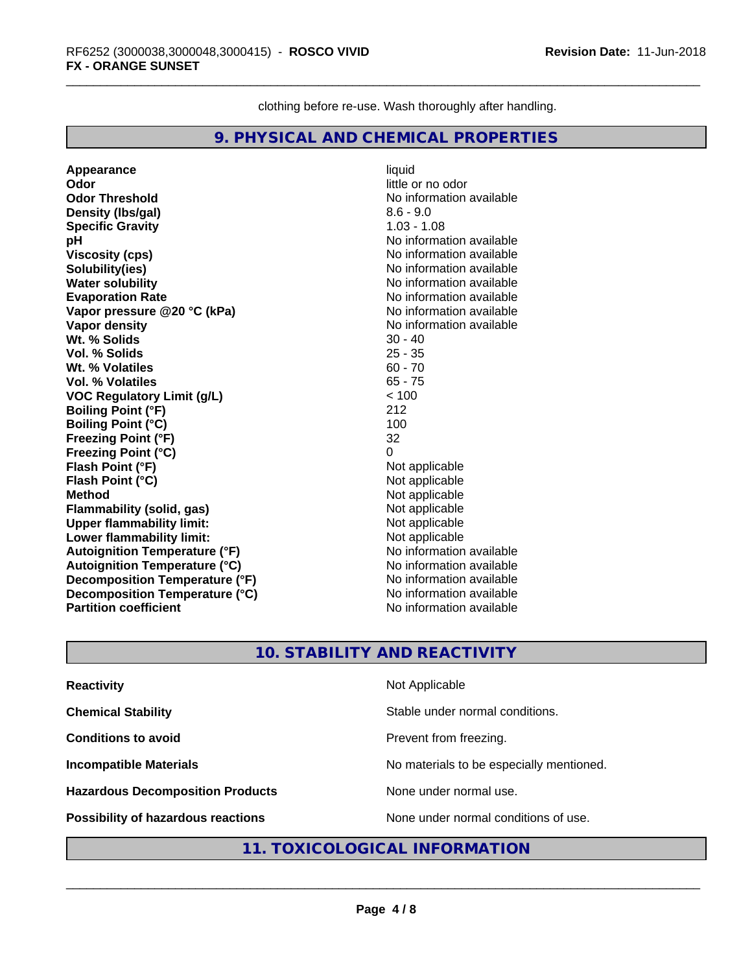clothing before re-use. Wash thoroughly after handling.

## **9. PHYSICAL AND CHEMICAL PROPERTIES**

**Appearance** liquid **Odor** little or no odor **Odor Threshold** No information available **Density (Ibs/gal)** 8.6 - 9.0<br> **Specific Gravity** 8.6 - 9.0<br> **Specific Gravity Specific Gravity**<br>pH **Viscosity (cps)** No information available **Solubility(ies)**<br> **No** information available<br> **Water solubility**<br> **No** information available **Water solubility**<br> **Evaporation Rate**<br> **Evaporation Rate**<br> **Evaporation Rate Vapor pressure @20 °C (kPa)**<br> **Vapor density**<br> **Vapor density**<br> **Vapor density Wt. % Solids 30 - 40<br>
<b>Vol. % Solids** 30 - 40<br> **Vol. % Solids** 35 - 35 **Vol. % Solids** 25 - 35 **Wt. % Volatiles** 60 - 70 **Vol. % Volatiles VOC Regulatory Limit (g/L)** < 100 **Boiling Point (°F)** 212 **Boiling Point (°C)** 100 **Freezing Point (°F)** 32 **Freezing Point (°C) Flash Point (°F)**<br> **Flash Point (°C)**<br> **Flash Point (°C)**<br> **Point (°C) Flash Point (°C)**<br>Method **Flammability** (solid, gas) **Upper flammability limit:**<br> **Lower flammability limit:** Not applicable Not applicable **Lower flammability limit:**<br> **Autoignition Temperature (°F)** Not applicable havailable **Autoignition Temperature (°F) Autoignition Temperature (°C)**<br> **Decomposition Temperature (°F)** No information available **Decomposition Temperature (°F) Decomposition Temperature (°C)**<br> **Partition coefficient**<br> **Partition coefficient**<br> **No** information available **Partition coefficient** 

**No information available Evaporation Rate** No information available **No information available**<br>30 - 40 **Not applicable**<br>Not applicable

## **10. STABILITY AND REACTIVITY**

| <b>Reactivity</b>                         | Not Applicable                           |
|-------------------------------------------|------------------------------------------|
| <b>Chemical Stability</b>                 | Stable under normal conditions.          |
| <b>Conditions to avoid</b>                | Prevent from freezing.                   |
| <b>Incompatible Materials</b>             | No materials to be especially mentioned. |
| <b>Hazardous Decomposition Products</b>   | None under normal use.                   |
| <b>Possibility of hazardous reactions</b> | None under normal conditions of use.     |

## **11. TOXICOLOGICAL INFORMATION**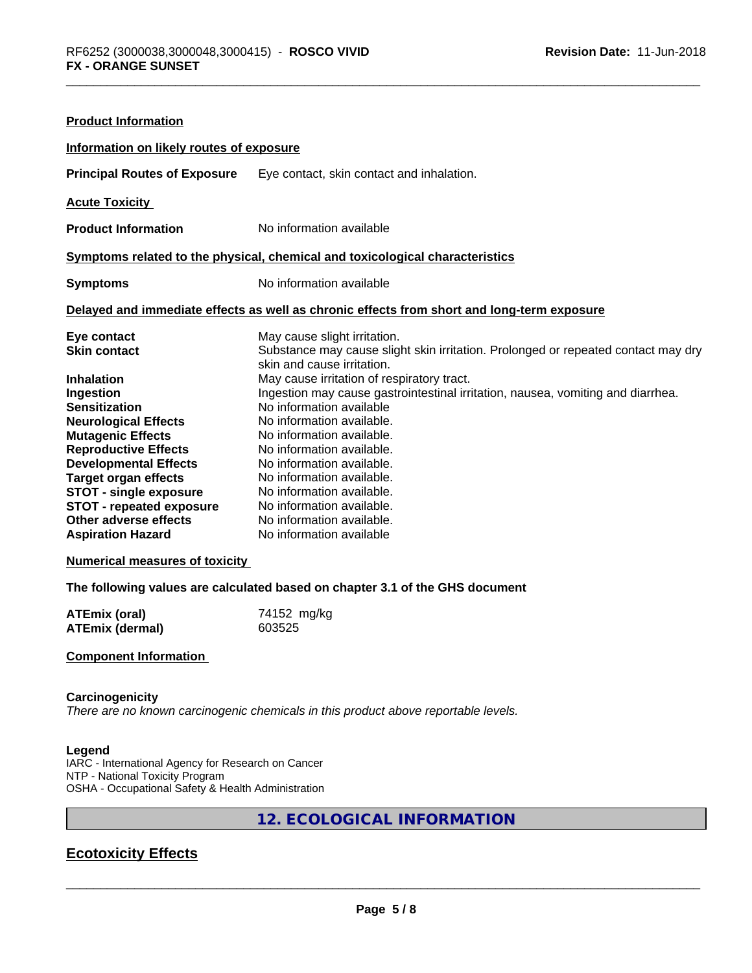| <b>Product Information</b>               |                                                                                                                               |
|------------------------------------------|-------------------------------------------------------------------------------------------------------------------------------|
| Information on likely routes of exposure |                                                                                                                               |
| <b>Principal Routes of Exposure</b>      | Eye contact, skin contact and inhalation.                                                                                     |
| <b>Acute Toxicity</b>                    |                                                                                                                               |
| <b>Product Information</b>               | No information available                                                                                                      |
|                                          | Symptoms related to the physical, chemical and toxicological characteristics                                                  |
| <b>Symptoms</b>                          | No information available                                                                                                      |
|                                          | Delayed and immediate effects as well as chronic effects from short and long-term exposure                                    |
| Eye contact<br><b>Skin contact</b>       | May cause slight irritation.<br>Substance may cause slight skin irritation. Prolonged or repeated contact may dry             |
|                                          | skin and cause irritation.                                                                                                    |
| <b>Inhalation</b>                        | May cause irritation of respiratory tract.<br>Ingestion may cause gastrointestinal irritation, nausea, vomiting and diarrhea. |
| Ingestion<br><b>Sensitization</b>        | No information available                                                                                                      |
| <b>Neurological Effects</b>              | No information available.                                                                                                     |
| <b>Mutagenic Effects</b>                 | No information available.                                                                                                     |
| <b>Reproductive Effects</b>              | No information available.                                                                                                     |
| <b>Developmental Effects</b>             | No information available.                                                                                                     |
| <b>Target organ effects</b>              | No information available.                                                                                                     |
| <b>STOT - single exposure</b>            | No information available.                                                                                                     |
| <b>STOT - repeated exposure</b>          | No information available.                                                                                                     |
| Other adverse effects                    | No information available.                                                                                                     |
| <b>Aspiration Hazard</b>                 | No information available                                                                                                      |
| <b>Numerical measures of toxicity</b>    |                                                                                                                               |

**The following values are calculated based on chapter 3.1 of the GHS document**

| ATEmix (oral)          | 74152 mg/kg |
|------------------------|-------------|
| <b>ATEmix (dermal)</b> | 603525      |

#### **Component Information**

#### **Carcinogenicity**

*There are no known carcinogenic chemicals in this product above reportable levels.*

#### **Legend**

IARC - International Agency for Research on Cancer NTP - National Toxicity Program OSHA - Occupational Safety & Health Administration

## **12. ECOLOGICAL INFORMATION**

# **Ecotoxicity Effects**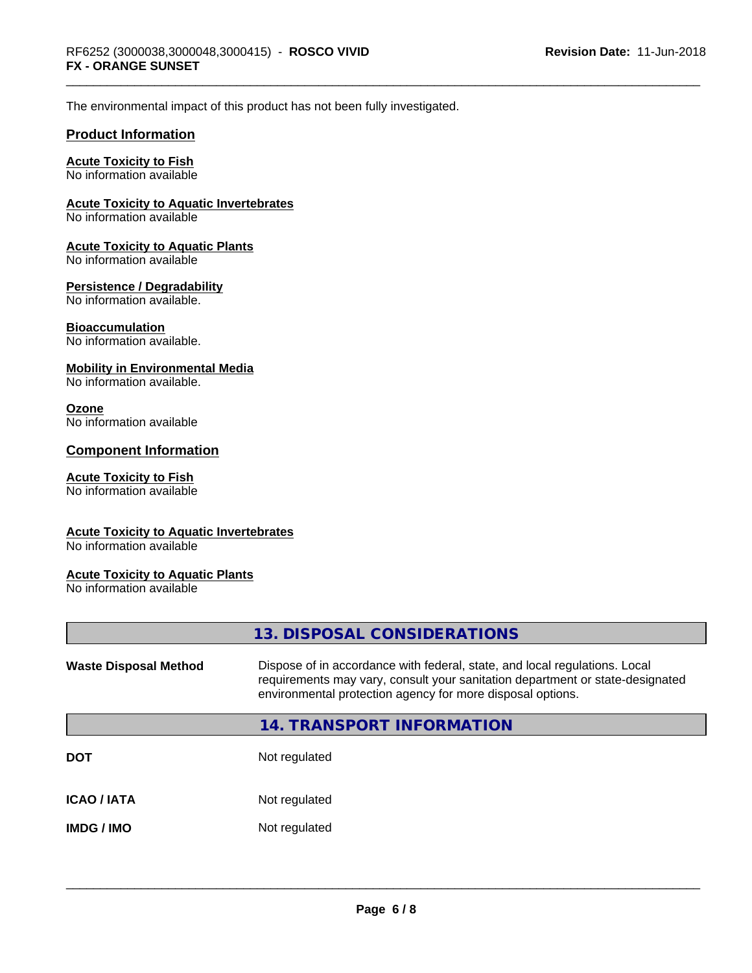The environmental impact of this product has not been fully investigated.

#### **Product Information**

## **Acute Toxicity to Fish**

No information available

#### **Acute Toxicity to Aquatic Invertebrates**

No information available

#### **Acute Toxicity to Aquatic Plants**

No information available

#### **Persistence / Degradability**

No information available.

#### **Bioaccumulation**

No information available.

#### **Mobility in Environmental Media**

No information available.

#### **Ozone**

No information available

#### **Component Information**

#### **Acute Toxicity to Fish**

No information available

#### **Acute Toxicity to Aquatic Invertebrates**

No information available

#### **Acute Toxicity to Aquatic Plants**

No information available

|                              | 13. DISPOSAL CONSIDERATIONS                                                                                                                                                                                               |  |
|------------------------------|---------------------------------------------------------------------------------------------------------------------------------------------------------------------------------------------------------------------------|--|
| <b>Waste Disposal Method</b> | Dispose of in accordance with federal, state, and local regulations. Local<br>requirements may vary, consult your sanitation department or state-designated<br>environmental protection agency for more disposal options. |  |
|                              | 14. TRANSPORT INFORMATION                                                                                                                                                                                                 |  |
| <b>DOT</b>                   | Not regulated                                                                                                                                                                                                             |  |
| <b>ICAO / IATA</b>           | Not regulated                                                                                                                                                                                                             |  |
| <b>IMDG/IMO</b>              | Not regulated                                                                                                                                                                                                             |  |
|                              |                                                                                                                                                                                                                           |  |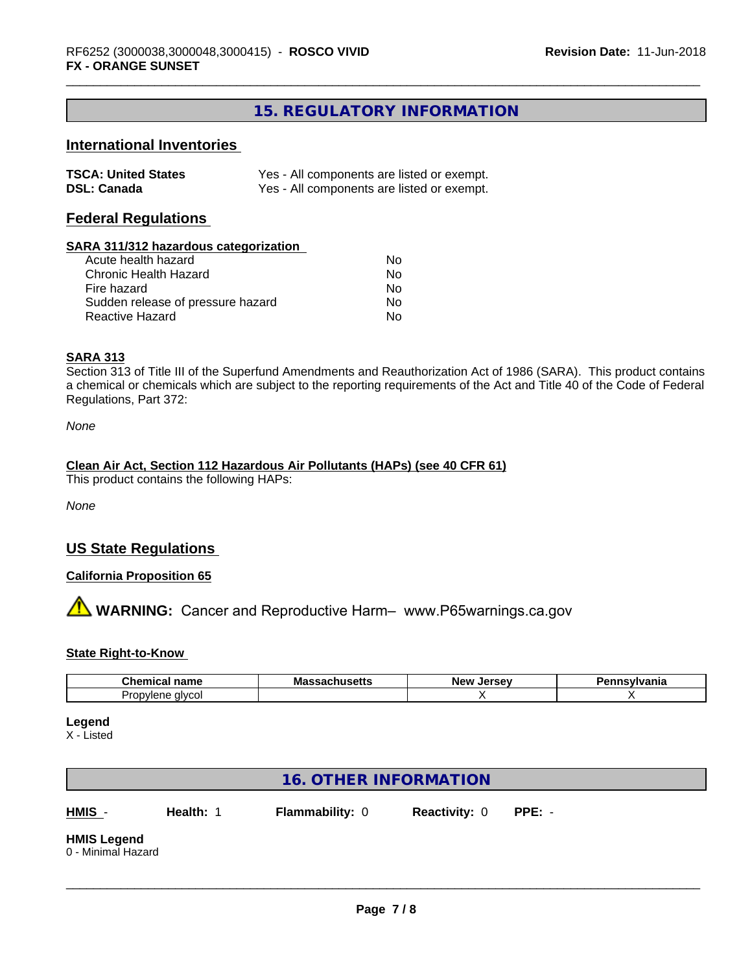## **15. REGULATORY INFORMATION**

## **International Inventories**

| <b>TSCA: United States</b> | Yes - All components are listed or exempt. |
|----------------------------|--------------------------------------------|
| <b>DSL: Canada</b>         | Yes - All components are listed or exempt. |

## **Federal Regulations**

#### **SARA 311/312 hazardous categorization**

| Acute health hazard               | No |  |
|-----------------------------------|----|--|
| Chronic Health Hazard             | Nο |  |
| Fire hazard                       | No |  |
| Sudden release of pressure hazard | Nο |  |
| Reactive Hazard                   | Nο |  |

#### **SARA 313**

Section 313 of Title III of the Superfund Amendments and Reauthorization Act of 1986 (SARA). This product contains a chemical or chemicals which are subject to the reporting requirements of the Act and Title 40 of the Code of Federal Regulations, Part 372:

*None*

#### **Clean Air Act,Section 112 Hazardous Air Pollutants (HAPs) (see 40 CFR 61)**

This product contains the following HAPs:

*None*

## **US State Regulations**

### **California Proposition 65**

**AN** WARNING: Cancer and Reproductive Harm– www.P65warnings.ca.gov

#### **State Right-to-Know**

| . .<br>hemical name<br>- - -            | мә<br>uscus | loreou<br>"Ne<br>--<br>-35 | $-$ -valuation<br>anno |
|-----------------------------------------|-------------|----------------------------|------------------------|
| ື້<br>alvcol<br>วviene<br>$\sim$<br>. . |             |                            |                        |

#### **Legend**

X - Listed

## **16. OTHER INFORMATION**

**HMIS** - **Health:** 1 **Flammability:** 0 **Reactivity:** 0 **PPE:** -

 $\overline{\phantom{a}}$  ,  $\overline{\phantom{a}}$  ,  $\overline{\phantom{a}}$  ,  $\overline{\phantom{a}}$  ,  $\overline{\phantom{a}}$  ,  $\overline{\phantom{a}}$  ,  $\overline{\phantom{a}}$  ,  $\overline{\phantom{a}}$  ,  $\overline{\phantom{a}}$  ,  $\overline{\phantom{a}}$  ,  $\overline{\phantom{a}}$  ,  $\overline{\phantom{a}}$  ,  $\overline{\phantom{a}}$  ,  $\overline{\phantom{a}}$  ,  $\overline{\phantom{a}}$  ,  $\overline{\phantom{a}}$ 

#### **HMIS Legend** 0 - Minimal Hazard